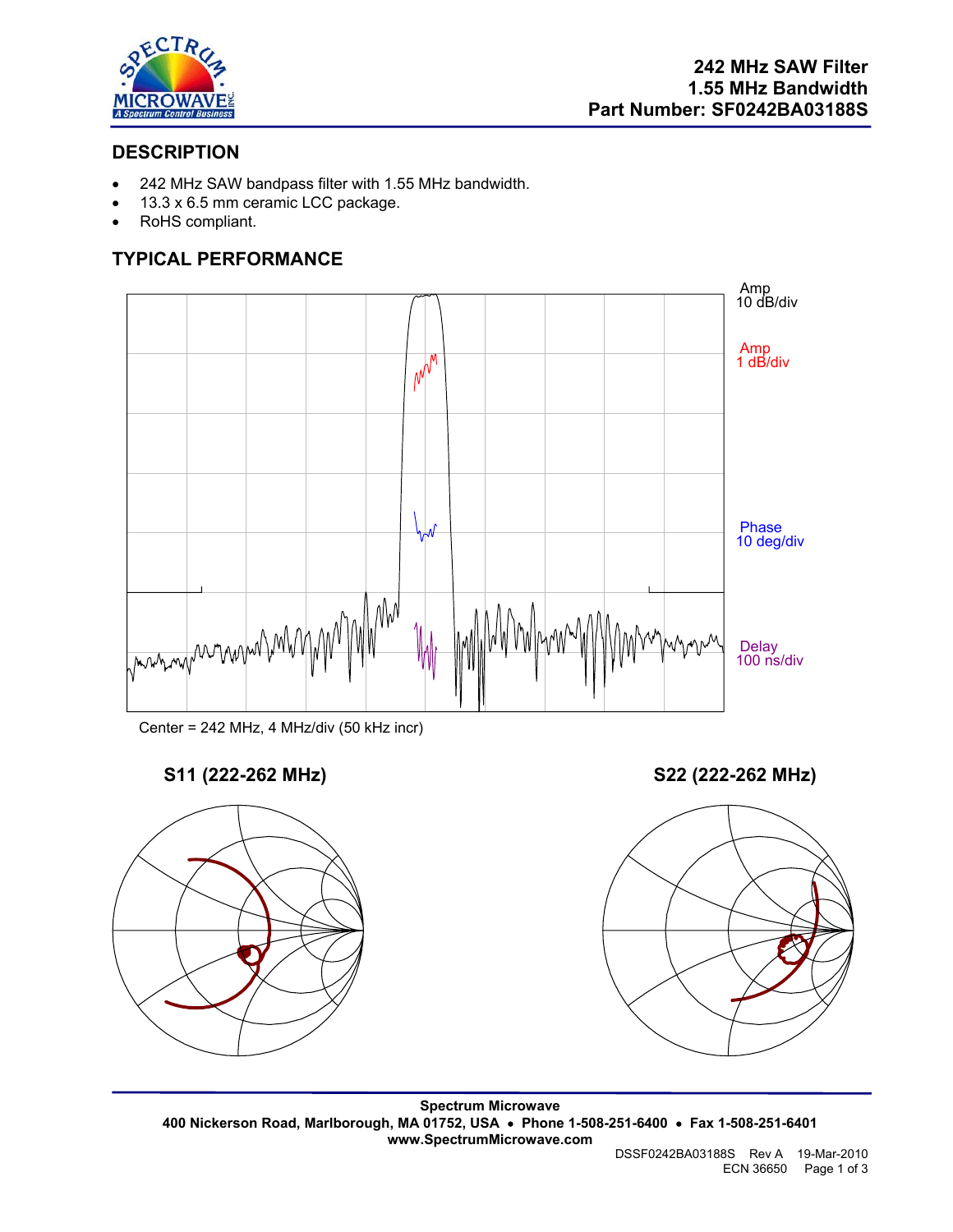

## **DESCRIPTION**

- 242 MHz SAW bandpass filter with 1.55 MHz bandwidth.
- 13.3 x 6.5 mm ceramic LCC package.
- RoHS compliant.

# **TYPICAL PERFORMANCE**





# **S11 (222-262 MHz) S22 (222-262 MHz)**





**Spectrum Microwave 400 Nickerson Road, Marlborough, MA 01752, USA** • **Phone 1-508-251-6400** • **Fax 1-508-251-6401 www.SpectrumMicrowave.com** 

DSSF0242BA03188S Rev A 19-Mar-2010 ECN 36650 Page 1 of 3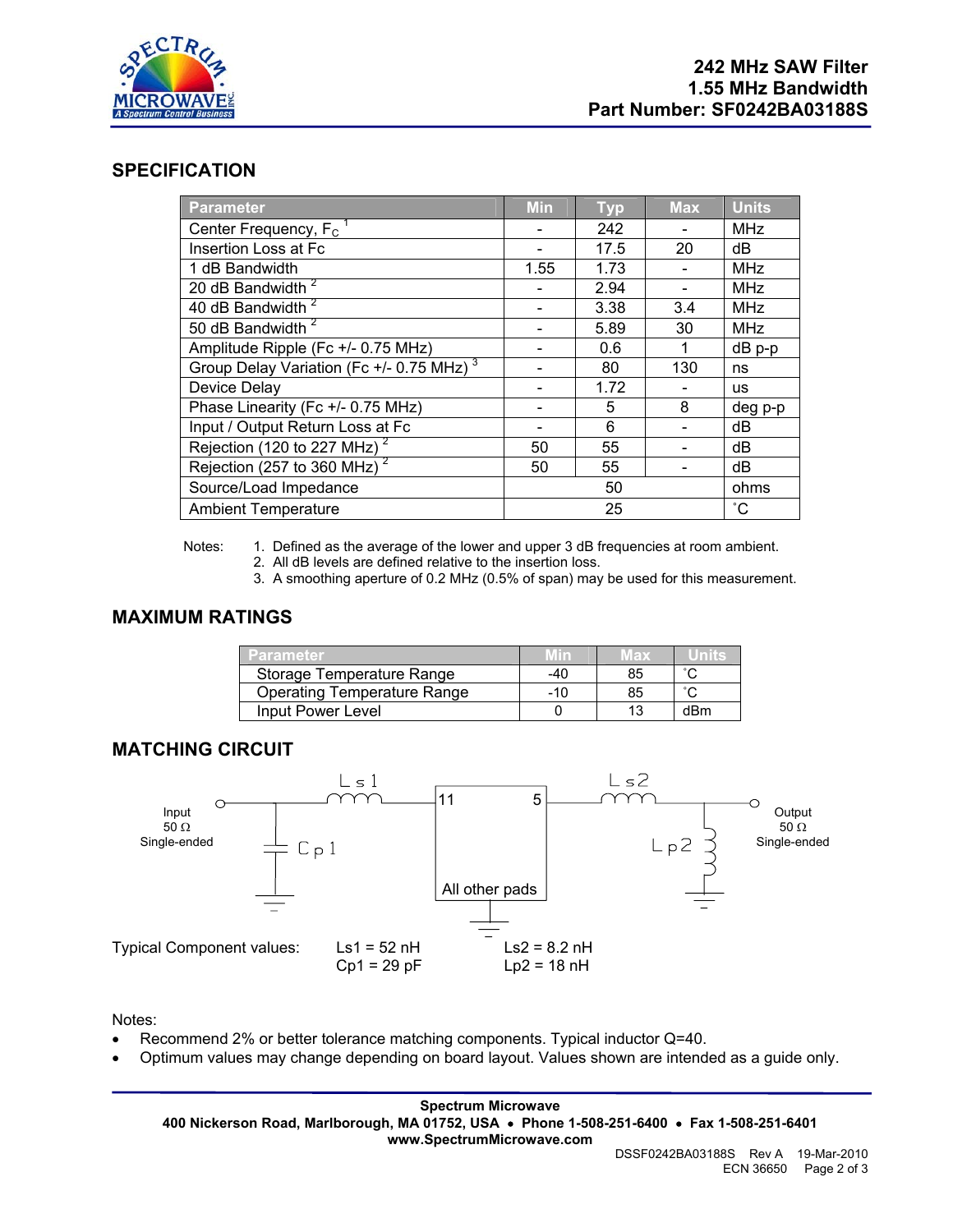

## **SPECIFICATION**

| <b>Parameter</b>                                     | <b>Min</b> | <b>Typ</b> | <b>Max</b> | <b>Units</b> |
|------------------------------------------------------|------------|------------|------------|--------------|
| Center Frequency, F <sub>c</sub>                     |            | 242        |            | <b>MHz</b>   |
| Insertion Loss at Fc                                 |            | 17.5       | 20         | dB           |
| 1 dB Bandwidth                                       | 1.55       | 1.73       |            | <b>MHz</b>   |
| 20 dB Bandwidth <sup>2</sup>                         |            | 2.94       |            | <b>MHz</b>   |
| 40 dB Bandwidth <sup>2</sup>                         |            | 3.38       | 3.4        | <b>MHz</b>   |
| 50 dB Bandwidth <sup>2</sup>                         |            | 5.89       | 30         | <b>MHz</b>   |
| Amplitude Ripple (Fc +/- 0.75 MHz)                   |            | 0.6        |            | $dB$ p-p     |
| Group Delay Variation (Fc +/- 0.75 MHz) <sup>3</sup> |            | 80         | 130        | ns           |
| Device Delay                                         |            | 1.72       |            | <b>us</b>    |
| Phase Linearity (Fc +/- 0.75 MHz)                    |            | 5          | 8          | deg p-p      |
| Input / Output Return Loss at Fc                     |            | 6          |            | dB           |
| Rejection (120 to 227 MHz) <sup>2</sup>              | 50         | 55         |            | dB           |
| Rejection (257 to 360 MHz) $2^2$                     | 50         | 55         |            | dB           |
| Source/Load Impedance                                | 50         |            | ohms       |              |
| <b>Ambient Temperature</b>                           | 25         |            |            | °С           |

Notes: 1. Defined as the average of the lower and upper 3 dB frequencies at room ambient.

- 2. All dB levels are defined relative to the insertion loss.
- 3. A smoothing aperture of 0.2 MHz (0.5% of span) may be used for this measurement.

## **MAXIMUM RATINGS**

| <b>12arameter</b>                  |     | <b>TEX</b> |     |
|------------------------------------|-----|------------|-----|
| Storage Temperature Range          | -40 | 85         |     |
| <b>Operating Temperature Range</b> | -10 | 85         |     |
| Input Power Level                  |     |            | dBm |

## **MATCHING CIRCUIT**



Notes:

- Recommend 2% or better tolerance matching components. Typical inductor Q=40.
- Optimum values may change depending on board layout. Values shown are intended as a guide only.

**Spectrum Microwave 400 Nickerson Road, Marlborough, MA 01752, USA** • **Phone 1-508-251-6400** • **Fax 1-508-251-6401 www.SpectrumMicrowave.com**